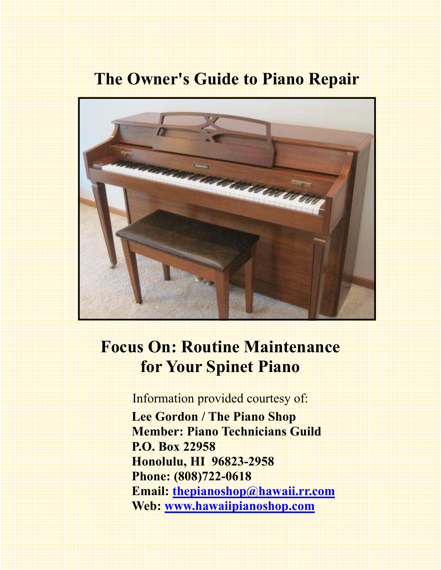## **The Owner's Guide to Piano Repair**



## **Focus On: Routine Maintenance for Your Spinet Piano**

Information provided courtesy of:  **Lee Gordon / The Piano Shop Member: Piano Technicians Guild P.O. Box 22958 Honolulu, HI 96823-2958 Phone: (808)722-0618 Email: thepianoshop@hawaii.rr.com Web: www.hawaiipianoshop.com**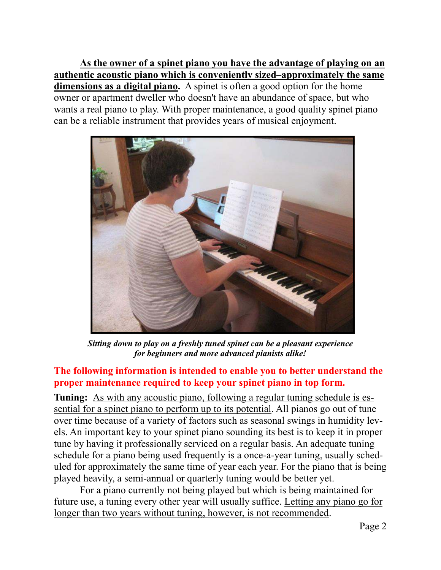**As the owner of a spinet piano you have the advantage of playing on an authentic acoustic piano which is conveniently sized–approximately the same dimensions as a digital piano.** A spinet is often a good option for the home owner or apartment dweller who doesn't have an abundance of space, but who wants a real piano to play. With proper maintenance, a good quality spinet piano can be a reliable instrument that provides years of musical enjoyment.



*Sitting down to play on a freshly tuned spinet can be a pleasant experience for beginners and more advanced pianists alike!* 

## **The following information is intended to enable you to better understand the proper maintenance required to keep your spinet piano in top form.**

**Tuning:** As with any acoustic piano, following a regular tuning schedule is essential for a spinet piano to perform up to its potential. All pianos go out of tune over time because of a variety of factors such as seasonal swings in humidity levels. An important key to your spinet piano sounding its best is to keep it in proper tune by having it professionally serviced on a regular basis. An adequate tuning schedule for a piano being used frequently is a once-a-year tuning, usually scheduled for approximately the same time of year each year. For the piano that is being played heavily, a semi-annual or quarterly tuning would be better yet.

 For a piano currently not being played but which is being maintained for future use, a tuning every other year will usually suffice. Letting any piano go for longer than two years without tuning, however, is not recommended.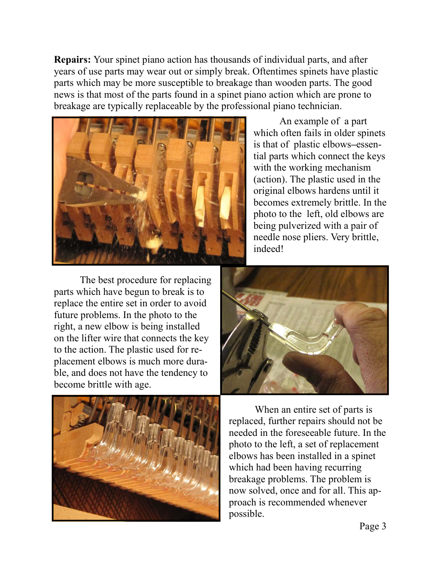**Repairs:** Your spinet piano action has thousands of individual parts, and after years of use parts may wear out or simply break. Oftentimes spinets have plastic parts which may be more susceptible to breakage than wooden parts. The good news is that most of the parts found in a spinet piano action which are prone to breakage are typically replaceable by the professional piano technician.



 The best procedure for replacing parts which have begun to break is to replace the entire set in order to avoid future problems. In the photo to the right, a new elbow is being installed on the lifter wire that connects the key to the action. The plastic used for replacement elbows is much more durable, and does not have the tendency to become brittle with age.

 An example of a part which often fails in older spinets is that of plastic elbows**–**essential parts which connect the keys with the working mechanism (action). The plastic used in the original elbows hardens until it becomes extremely brittle. In the photo to the left, old elbows are being pulverized with a pair of needle nose pliers. Very brittle, indeed!



 When an entire set of parts is replaced, further repairs should not be needed in the foreseeable future. In the photo to the left, a set of replacement elbows has been installed in a spinet which had been having recurring breakage problems. The problem is now solved, once and for all. This approach is recommended whenever possible.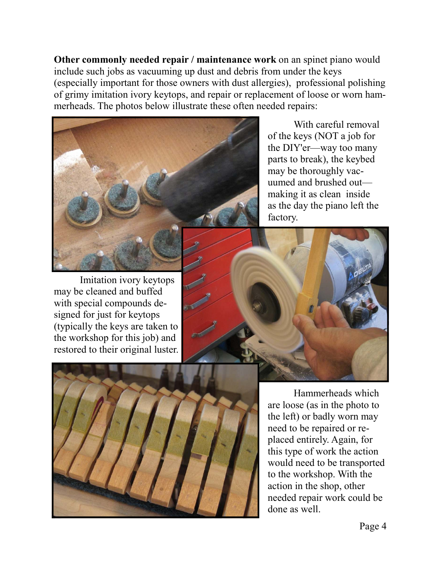**Other commonly needed repair / maintenance work** on an spinet piano would include such jobs as vacuuming up dust and debris from under the keys (especially important for those owners with dust allergies), professional polishing of grimy imitation ivory keytops, and repair or replacement of loose or worn hammerheads. The photos below illustrate these often needed repairs:



 With careful removal of the keys (NOT a job for the DIY'er—way too many parts to break), the keybed may be thoroughly vacuumed and brushed out making it as clean inside as the day the piano left the factory.

 Imitation ivory keytops may be cleaned and buffed with special compounds designed for just for keytops (typically the keys are taken to the workshop for this job) and restored to their original luster.





 Hammerheads which are loose (as in the photo to the left) or badly worn may need to be repaired or replaced entirely. Again, for this type of work the action would need to be transported to the workshop. With the action in the shop, other needed repair work could be done as well.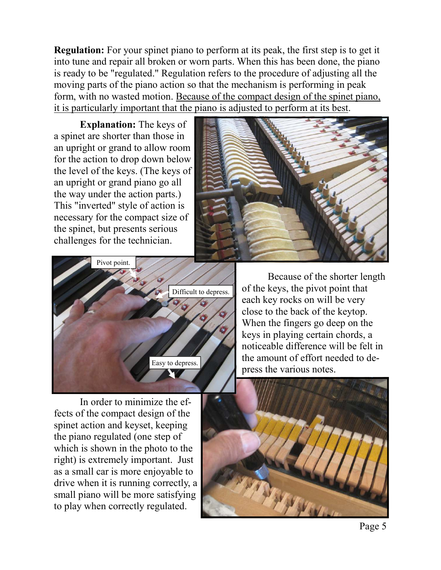**Regulation:** For your spinet piano to perform at its peak, the first step is to get it into tune and repair all broken or worn parts. When this has been done, the piano is ready to be "regulated." Regulation refers to the procedure of adjusting all the moving parts of the piano action so that the mechanism is performing in peak form, with no wasted motion. Because of the compact design of the spinet piano, it is particularly important that the piano is adjusted to perform at its best.

**Explanation:** The keys of a spinet are shorter than those in an upright or grand to allow room for the action to drop down below the level of the keys. (The keys of an upright or grand piano go all the way under the action parts.) This "inverted" style of action is necessary for the compact size of the spinet, but presents serious challenges for the technician.





 In order to minimize the effects of the compact design of the spinet action and keyset, keeping the piano regulated (one step of which is shown in the photo to the right) is extremely important. Just as a small car is more enjoyable to drive when it is running correctly, a small piano will be more satisfying to play when correctly regulated.

 Because of the shorter length of the keys, the pivot point that each key rocks on will be very close to the back of the keytop. When the fingers go deep on the keys in playing certain chords, a noticeable difference will be felt in the amount of effort needed to depress the various notes.

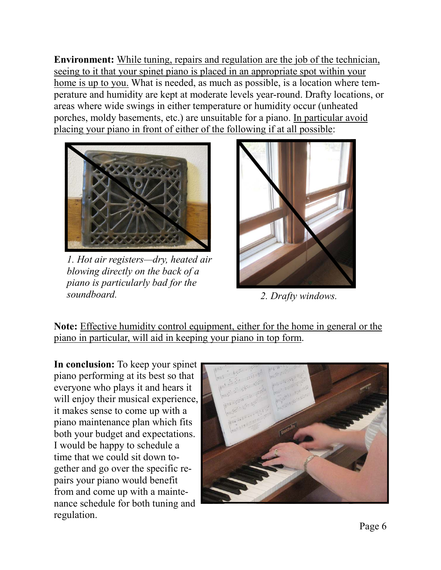**Environment:** While tuning, repairs and regulation are the job of the technician, seeing to it that your spinet piano is placed in an appropriate spot within your home is up to you. What is needed, as much as possible, is a location where temperature and humidity are kept at moderate levels year-round. Drafty locations, or areas where wide swings in either temperature or humidity occur (unheated porches, moldy basements, etc.) are unsuitable for a piano. In particular avoid placing your piano in front of either of the following if at all possible:



*1. Hot air registers—dry, heated air blowing directly on the back of a piano is particularly bad for the soundboard. 2. Drafty windows.* 



**Note:** Effective humidity control equipment, either for the home in general or the piano in particular, will aid in keeping your piano in top form.

**In conclusion:** To keep your spinet piano performing at its best so that everyone who plays it and hears it will enjoy their musical experience, it makes sense to come up with a piano maintenance plan which fits both your budget and expectations. I would be happy to schedule a time that we could sit down together and go over the specific repairs your piano would benefit from and come up with a maintenance schedule for both tuning and regulation.